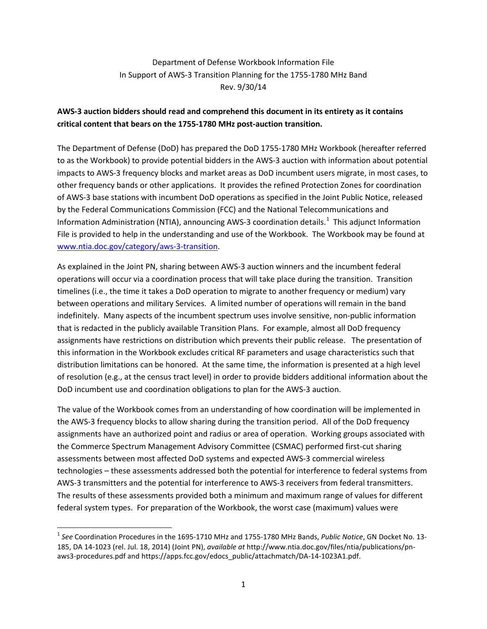## Department of Defense Workbook Information File In Support of AWS-3 Transition Planning for the 1755-1780 MHz Band Rev. 9/30/14

## **AWS-3 auction bidders should read and comprehend this document in its entirety as it contains critical content that bears on the 1755-1780 MHz post-auction transition.**

The Department of Defense (DoD) has prepared the DoD 1755-1780 MHz Workbook (hereafter referred to as the Workbook) to provide potential bidders in the AWS-3 auction with information about potential impacts to AWS-3 frequency blocks and market areas as DoD incumbent users migrate, in most cases, to other frequency bands or other applications. It provides the refined Protection Zones for coordination of AWS-3 base stations with incumbent DoD operations as specified in the Joint Public Notice, released by the Federal Communications Commission (FCC) and the National Telecommunications and Information Administration (NTIA), announcing AWS-3 coordination details.<sup>[1](#page-0-0)</sup> This adjunct Information File is provided to help in the understanding and use of the Workbook. The Workbook may be found at [www.ntia.doc.gov/category/aws-3-transition.](http://www.ntia.doc.gov/category/aws-3-transition)

As explained in the Joint PN, sharing between AWS-3 auction winners and the incumbent federal operations will occur via a coordination process that will take place during the transition. Transition timelines (i.e., the time it takes a DoD operation to migrate to another frequency or medium) vary between operations and military Services. A limited number of operations will remain in the band indefinitely. Many aspects of the incumbent spectrum uses involve sensitive, non-public information that is redacted in the publicly available Transition Plans. For example, almost all DoD frequency assignments have restrictions on distribution which prevents their public release. The presentation of this information in the Workbook excludes critical RF parameters and usage characteristics such that distribution limitations can be honored. At the same time, the information is presented at a high level of resolution (e.g., at the census tract level) in order to provide bidders additional information about the DoD incumbent use and coordination obligations to plan for the AWS-3 auction.

The value of the Workbook comes from an understanding of how coordination will be implemented in the AWS-3 frequency blocks to allow sharing during the transition period. All of the DoD frequency assignments have an authorized point and radius or area of operation. Working groups associated with the Commerce Spectrum Management Advisory Committee (CSMAC) performed first-cut sharing assessments between most affected DoD systems and expected AWS-3 commercial wireless technologies – these assessments addressed both the potential for interference to federal systems from AWS-3 transmitters and the potential for interference to AWS-3 receivers from federal transmitters. The results of these assessments provided both a minimum and maximum range of values for different federal system types. For preparation of the Workbook, the worst case (maximum) values were

<span id="page-0-0"></span> <sup>1</sup> *See* Coordination Procedures in the 1695-1710 MHz and 1755-1780 MHz Bands, *Public Notice*, GN Docket No. 13- 185, DA 14-1023 (rel. Jul. 18, 2014) (Joint PN), *available at* http://www.ntia.doc.gov/files/ntia/publications/pnaws3-procedures.pdf and https://apps.fcc.gov/edocs\_public/attachmatch/DA-14-1023A1.pdf.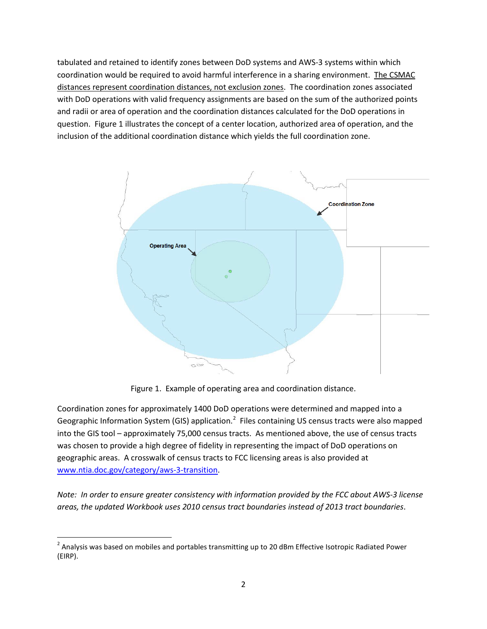tabulated and retained to identify zones between DoD systems and AWS-3 systems within which coordination would be required to avoid harmful interference in a sharing environment. The CSMAC distances represent coordination distances, not exclusion zones. The coordination zones associated with DoD operations with valid frequency assignments are based on the sum of the authorized points and radii or area of operation and the coordination distances calculated for the DoD operations in question. Figure 1 illustrates the concept of a center location, authorized area of operation, and the inclusion of the additional coordination distance which yields the full coordination zone.



Figure 1. Example of operating area and coordination distance.

Coordination zones for approximately 1400 DoD operations were determined and mapped into a Geographic Information System (GIS) application.<sup>[2](#page-1-0)</sup> Files containing US census tracts were also mapped into the GIS tool – approximately 75,000 census tracts. As mentioned above, the use of census tracts was chosen to provide a high degree of fidelity in representing the impact of DoD operations on geographic areas. A crosswalk of census tracts to FCC licensing areas is also provided at [www.ntia.doc.gov/category/aws-3-transition.](http://www.ntia.doc.gov/category/aws-3-transition)

*Note: In order to ensure greater consistency with information provided by the FCC about AWS-3 license areas, the updated Workbook uses 2010 census tract boundaries instead of 2013 tract boundaries*.

<span id="page-1-0"></span><sup>&</sup>lt;sup>2</sup> Analysis was based on mobiles and portables transmitting up to 20 dBm Effective Isotropic Radiated Power (EIRP).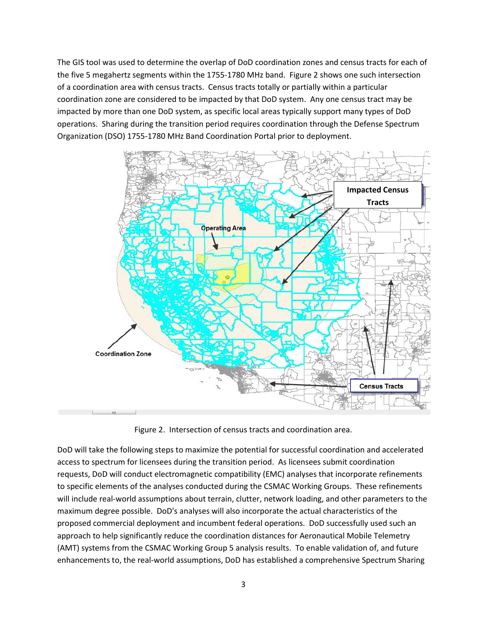The GIS tool was used to determine the overlap of DoD coordination zones and census tracts for each of the five 5 megahertz segments within the 1755-1780 MHz band. Figure 2 shows one such intersection of a coordination area with census tracts. Census tracts totally or partially within a particular coordination zone are considered to be impacted by that DoD system. Any one census tract may be impacted by more than one DoD system, as specific local areas typically support many types of DoD operations. Sharing during the transition period requires coordination through the Defense Spectrum Organization (DSO) 1755-1780 MHz Band Coordination Portal prior to deployment.



Figure 2. Intersection of census tracts and coordination area.

DoD will take the following steps to maximize the potential for successful coordination and accelerated access to spectrum for licensees during the transition period. As licensees submit coordination requests, DoD will conduct electromagnetic compatibility (EMC) analyses that incorporate refinements to specific elements of the analyses conducted during the CSMAC Working Groups. These refinements will include real-world assumptions about terrain, clutter, network loading, and other parameters to the maximum degree possible. DoD's analyses will also incorporate the actual characteristics of the proposed commercial deployment and incumbent federal operations. DoD successfully used such an approach to help significantly reduce the coordination distances for Aeronautical Mobile Telemetry (AMT) systems from the CSMAC Working Group 5 analysis results. To enable validation of, and future enhancements to, the real-world assumptions, DoD has established a comprehensive Spectrum Sharing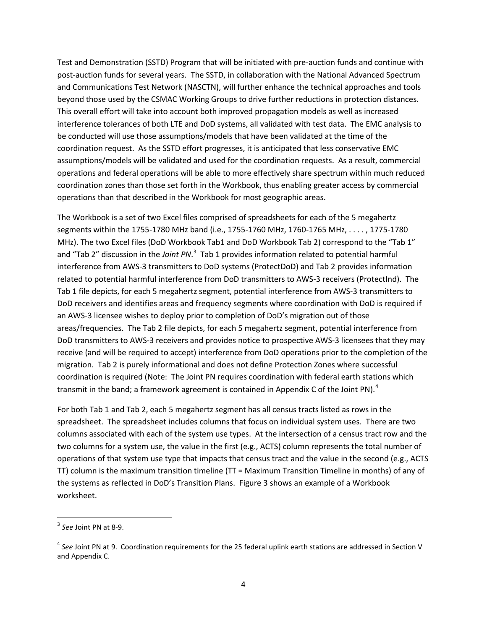Test and Demonstration (SSTD) Program that will be initiated with pre-auction funds and continue with post-auction funds for several years. The SSTD, in collaboration with the National Advanced Spectrum and Communications Test Network (NASCTN), will further enhance the technical approaches and tools beyond those used by the CSMAC Working Groups to drive further reductions in protection distances. This overall effort will take into account both improved propagation models as well as increased interference tolerances of both LTE and DoD systems, all validated with test data. The EMC analysis to be conducted will use those assumptions/models that have been validated at the time of the coordination request. As the SSTD effort progresses, it is anticipated that less conservative EMC assumptions/models will be validated and used for the coordination requests. As a result, commercial operations and federal operations will be able to more effectively share spectrum within much reduced coordination zones than those set forth in the Workbook, thus enabling greater access by commercial operations than that described in the Workbook for most geographic areas.

The Workbook is a set of two Excel files comprised of spreadsheets for each of the 5 megahertz segments within the 1755-1780 MHz band (i.e., 1755-1760 MHz, 1760-1765 MHz, . . . . , 1775-1780 MHz). The two Excel files (DoD Workbook Tab1 and DoD Workbook Tab 2) correspond to the "Tab 1" and "Tab 2" discussion in the *Joint PN*.<sup>[3](#page-3-0)</sup> Tab 1 provides information related to potential harmful interference from AWS-3 transmitters to DoD systems (ProtectDoD) and Tab 2 provides information related to potential harmful interference from DoD transmitters to AWS-3 receivers (ProtectInd). The Tab 1 file depicts, for each 5 megahertz segment, potential interference from AWS-3 transmitters to DoD receivers and identifies areas and frequency segments where coordination with DoD is required if an AWS-3 licensee wishes to deploy prior to completion of DoD's migration out of those areas/frequencies. The Tab 2 file depicts, for each 5 megahertz segment, potential interference from DoD transmitters to AWS-3 receivers and provides notice to prospective AWS-3 licensees that they may receive (and will be required to accept) interference from DoD operations prior to the completion of the migration. Tab 2 is purely informational and does not define Protection Zones where successful coordination is required (Note: The Joint PN requires coordination with federal earth stations which transmit in the band; a framework agreement is contained in Appendix C of the Joint PN).<sup>[4](#page-3-1)</sup>

For both Tab 1 and Tab 2, each 5 megahertz segment has all census tracts listed as rows in the spreadsheet. The spreadsheet includes columns that focus on individual system uses. There are two columns associated with each of the system use types. At the intersection of a census tract row and the two columns for a system use, the value in the first (e.g., ACTS) column represents the total number of operations of that system use type that impacts that census tract and the value in the second (e.g., ACTS TT) column is the maximum transition timeline (TT = Maximum Transition Timeline in months) of any of the systems as reflected in DoD's Transition Plans. Figure 3 shows an example of a Workbook worksheet.

<span id="page-3-0"></span> <sup>3</sup> *See* Joint PN at 8-9.

<span id="page-3-1"></span><sup>4</sup> *See* Joint PN at 9. Coordination requirements for the 25 federal uplink earth stations are addressed in Section V and Appendix C.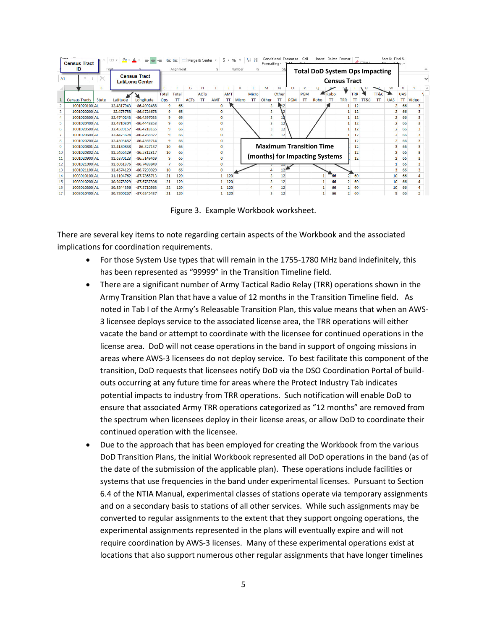|                | <b>Census Tract</b><br>ID | Conditional Format as<br>Merge & Center +<br>$-96$ , $-60$ $-30$<br>\$.<br>モ<br>1<br>€<br>Formatting *<br>Alignment<br>Number<br>Б.<br>Б. |                                                       |               |       |              |             |               |            | Sty        | Sort & Find &<br>Insert Delete Format<br>Cell<br>$C$ lear |               |       |       |                                                              |               |                                |               |                |            |      |             |                |              |                         |  |
|----------------|---------------------------|-------------------------------------------------------------------------------------------------------------------------------------------|-------------------------------------------------------|---------------|-------|--------------|-------------|---------------|------------|------------|-----------------------------------------------------------|---------------|-------|-------|--------------------------------------------------------------|---------------|--------------------------------|---------------|----------------|------------|------|-------------|----------------|--------------|-------------------------|--|
| A1             |                           |                                                                                                                                           | Font<br><b>Census Tract</b><br><b>Lat/Long Center</b> |               |       |              |             |               |            |            |                                                           |               |       |       | <b>Total DoD System Ops Impacting</b><br><b>Census Tract</b> |               |                                |               |                |            |      |             |                |              |                         |  |
|                |                           |                                                                                                                                           |                                                       |               |       |              | G           | н             |            |            |                                                           |               | M     | N     |                                                              |               |                                |               |                |            |      |             | w              |              |                         |  |
|                |                           |                                                                                                                                           |                                                       |               | Total | <b>Total</b> |             | <b>ACTs</b>   |            | <b>AMT</b> |                                                           | Micro         |       | Other |                                                              | <b>PGM</b>    |                                | Robo          |                | <b>TRR</b> |      | TT&C        |                | <b>UAS</b>   |                         |  |
|                | <b>Census Tracts</b>      | <b>State</b>                                                                                                                              | Latitude                                              | Longitude     | Ops   | π            | <b>ACTs</b> | $\mathbf \pi$ | <b>AMT</b> | π          | Micro                                                     | $\mathbf \pi$ | Other | π     | <b>PGM</b>                                                   | $\mathbf \pi$ | Robo                           | $\mathbf \pi$ | <b>TRR</b>     | π          | TT&C | $\mathbf T$ | <b>UAS</b>     | $\mathbf{T}$ | Video                   |  |
|                | 1001020100 AL             |                                                                                                                                           | 32.4817943                                            | -86.4902488   | 9     | 66           |             |               | n          |            |                                                           |               |       | A 12  |                                                              |               |                                |               |                | 12         |      |             | 2              | 66           | з                       |  |
| 3              | 1001020200 AL             |                                                                                                                                           | 32,475758                                             | $-86.4724678$ | 9     | 66           |             |               | o          |            |                                                           |               |       |       |                                                              |               |                                |               |                | 12         |      |             | $\overline{2}$ | 66           | 3                       |  |
| $\overline{4}$ | 1001020300 AL             |                                                                                                                                           | 32.4740243                                            | $-86.4597033$ | 9     | 66           |             |               | O          |            |                                                           |               |       |       |                                                              |               |                                |               |                | 12         |      |             | $\overline{2}$ | 66           | 3                       |  |
| 5              | 1001020400 AL             |                                                                                                                                           | 32.4710304                                            | -86,4448353   | 9     | 66           |             |               | o          |            |                                                           |               |       | 12    |                                                              |               |                                |               |                | 12         |      |             | $\overline{2}$ | 66           |                         |  |
| 6              | 1001020500 AL             |                                                                                                                                           | 32.4589157                                            | $-86.4218165$ | 9     | 66           |             |               |            |            |                                                           |               |       | 12    |                                                              |               |                                |               |                | 12         |      |             | $\overline{a}$ | 66           | 3                       |  |
| $\overline{7}$ | 1001020600 AL             |                                                                                                                                           | 32.4473674                                            | $-86.4768327$ | 9     | 66           |             |               |            |            |                                                           |               | 3     | 12    |                                                              |               |                                |               |                | 12         |      |             | 2              | 66           | 3                       |  |
| 8              | 1001020700 AL             |                                                                                                                                           | 32.4303487                                            | $-86.4369714$ | 9     | 66           |             |               |            |            |                                                           |               |       |       |                                                              |               |                                |               |                | 12         |      |             | 2              | 66           | $\overline{\mathbf{3}}$ |  |
| 9              | 1001020801 AL             |                                                                                                                                           | 32.4180838                                            | $-86.527137$  | 10    | 66           |             |               |            |            |                                                           |               |       |       |                                                              |               | <b>Maximum Transition Time</b> |               |                | 12         |      |             | 3              | 66           | з                       |  |
| 10             | 1001020802 AL             |                                                                                                                                           | 32.5466429                                            | $-86.5312317$ | 10    | 66           |             |               |            |            |                                                           |               |       |       |                                                              |               |                                |               |                | 12         |      |             | $\overline{a}$ | 66           | R                       |  |
| 11             | 1001020900 AL             |                                                                                                                                           | 32.6370123                                            | -86.5149469   | 9     | 66           |             |               |            |            |                                                           |               |       |       |                                                              |               | (months) for Impacting Systems |               |                | 12         |      |             | $\overline{2}$ | 66           | R                       |  |
| 12             | 1001021000 AL             |                                                                                                                                           | 32.6061376                                            | -86.7489849   |       | 66           |             |               |            |            |                                                           |               |       |       |                                                              |               |                                |               |                |            |      |             |                | 66           |                         |  |
| 13             | 1001021100 AL             |                                                                                                                                           | 32.4574129                                            | -86.7290029   | 10    | 66           |             |               |            |            |                                                           |               |       |       |                                                              |               |                                |               |                |            |      |             | 3              | 66           | 3                       |  |
| 14             | 1003010100 AL             |                                                                                                                                           | 31.1104762                                            | $-87.7868713$ | 21    | 120          |             |               |            | 120        |                                                           |               |       | 12    |                                                              |               |                                | 66            | $\overline{2}$ | 60         |      |             | 10             | 66           |                         |  |
| 15             | 1003010200 AL             |                                                                                                                                           | 30.9478929                                            | $-87.6787306$ | 21    | 120          |             |               |            | 120        |                                                           |               |       | 12    |                                                              |               |                                | 66            | $\overline{2}$ | 60         |      |             | 10             | 66           |                         |  |
| 16             | 1003010300 AL             |                                                                                                                                           | 30.8244356                                            | $-87.8710563$ | 22    | 120          |             |               |            | 120        |                                                           |               |       | 12    |                                                              |               |                                | 66            | $\overline{2}$ | 60         |      |             | 10             | 66           |                         |  |
| 17             | 1003010400 AL             |                                                                                                                                           | 30.7200267                                            | $-87.6245437$ | 21    | 120          |             |               |            | 120        |                                                           |               | 3     | 12    |                                                              |               |                                | 66            | $\overline{2}$ | 60         |      |             | 9              | 66           |                         |  |

Figure 3. Example Workbook worksheet.

There are several key items to note regarding certain aspects of the Workbook and the associated implications for coordination requirements.

- For those System Use types that will remain in the 1755-1780 MHz band indefinitely, this has been represented as "99999" in the Transition Timeline field.
- There are a significant number of Army Tactical Radio Relay (TRR) operations shown in the Army Transition Plan that have a value of 12 months in the Transition Timeline field. As noted in Tab I of the Army's Releasable Transition Plan, this value means that when an AWS-3 licensee deploys service to the associated license area, the TRR operations will either vacate the band or attempt to coordinate with the licensee for continued operations in the license area. DoD will not cease operations in the band in support of ongoing missions in areas where AWS-3 licensees do not deploy service. To best facilitate this component of the transition, DoD requests that licensees notify DoD via the DSO Coordination Portal of buildouts occurring at any future time for areas where the Protect Industry Tab indicates potential impacts to industry from TRR operations. Such notification will enable DoD to ensure that associated Army TRR operations categorized as "12 months" are removed from the spectrum when licensees deploy in their license areas, or allow DoD to coordinate their continued operation with the licensee.
- Due to the approach that has been employed for creating the Workbook from the various DoD Transition Plans, the initial Workbook represented all DoD operations in the band (as of the date of the submission of the applicable plan). These operations include facilities or systems that use frequencies in the band under experimental licenses. Pursuant to Section 6.4 of the NTIA Manual, experimental classes of stations operate via temporary assignments and on a secondary basis to stations of all other services. While such assignments may be converted to regular assignments to the extent that they support ongoing operations, the experimental assignments represented in the plans will eventually expire and will not require coordination by AWS-3 licenses. Many of these experimental operations exist at locations that also support numerous other regular assignments that have longer timelines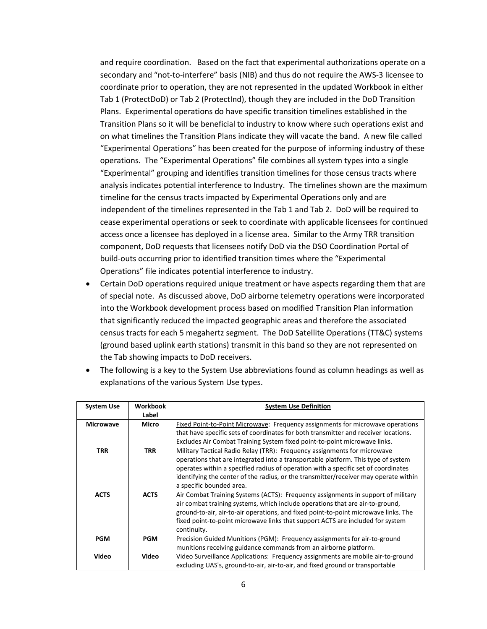and require coordination. Based on the fact that experimental authorizations operate on a secondary and "not-to-interfere" basis (NIB) and thus do not require the AWS-3 licensee to coordinate prior to operation, they are not represented in the updated Workbook in either Tab 1 (ProtectDoD) or Tab 2 (ProtectInd), though they are included in the DoD Transition Plans. Experimental operations do have specific transition timelines established in the Transition Plans so it will be beneficial to industry to know where such operations exist and on what timelines the Transition Plans indicate they will vacate the band. A new file called "Experimental Operations" has been created for the purpose of informing industry of these operations. The "Experimental Operations" file combines all system types into a single "Experimental" grouping and identifies transition timelines for those census tracts where analysis indicates potential interference to Industry. The timelines shown are the maximum timeline for the census tracts impacted by Experimental Operations only and are independent of the timelines represented in the Tab 1 and Tab 2. DoD will be required to cease experimental operations or seek to coordinate with applicable licensees for continued access once a licensee has deployed in a license area. Similar to the Army TRR transition component, DoD requests that licensees notify DoD via the DSO Coordination Portal of build-outs occurring prior to identified transition times where the "Experimental Operations" file indicates potential interference to industry.

• Certain DoD operations required unique treatment or have aspects regarding them that are of special note. As discussed above, DoD airborne telemetry operations were incorporated into the Workbook development process based on modified Transition Plan information that significantly reduced the impacted geographic areas and therefore the associated census tracts for each 5 megahertz segment. The DoD Satellite Operations (TT&C) systems (ground based uplink earth stations) transmit in this band so they are not represented on the Tab showing impacts to DoD receivers.

| <b>System Use</b> | Workbook    | <b>System Use Definition</b>                                                         |  |  |  |  |  |  |
|-------------------|-------------|--------------------------------------------------------------------------------------|--|--|--|--|--|--|
|                   | Label       |                                                                                      |  |  |  |  |  |  |
| <b>Microwave</b>  | Micro       | Fixed Point-to-Point Microwave: Frequency assignments for microwave operations       |  |  |  |  |  |  |
|                   |             | that have specific sets of coordinates for both transmitter and receiver locations.  |  |  |  |  |  |  |
|                   |             | Excludes Air Combat Training System fixed point-to-point microwave links.            |  |  |  |  |  |  |
| <b>TRR</b>        | TRR         | Military Tactical Radio Relay (TRR): Frequency assignments for microwave             |  |  |  |  |  |  |
|                   |             | operations that are integrated into a transportable platform. This type of system    |  |  |  |  |  |  |
|                   |             | operates within a specified radius of operation with a specific set of coordinates   |  |  |  |  |  |  |
|                   |             | identifying the center of the radius, or the transmitter/receiver may operate within |  |  |  |  |  |  |
|                   |             | a specific bounded area.                                                             |  |  |  |  |  |  |
| <b>ACTS</b>       | <b>ACTS</b> | Air Combat Training Systems (ACTS): Frequency assignments in support of military     |  |  |  |  |  |  |
|                   |             | air combat training systems, which include operations that are air-to-ground,        |  |  |  |  |  |  |
|                   |             | ground-to-air, air-to-air operations, and fixed point-to-point microwave links. The  |  |  |  |  |  |  |
|                   |             | fixed point-to-point microwave links that support ACTS are included for system       |  |  |  |  |  |  |
|                   |             | continuity.                                                                          |  |  |  |  |  |  |
| <b>PGM</b>        | <b>PGM</b>  | Precision Guided Munitions (PGM): Frequency assignments for air-to-ground            |  |  |  |  |  |  |
|                   |             | munitions receiving guidance commands from an airborne platform.                     |  |  |  |  |  |  |
| Video             | Video       | Video Surveillance Applications: Frequency assignments are mobile air-to-ground      |  |  |  |  |  |  |
|                   |             | excluding UAS's, ground-to-air, air-to-air, and fixed ground or transportable        |  |  |  |  |  |  |

• The following is a key to the System Use abbreviations found as column headings as well as explanations of the various System Use types.